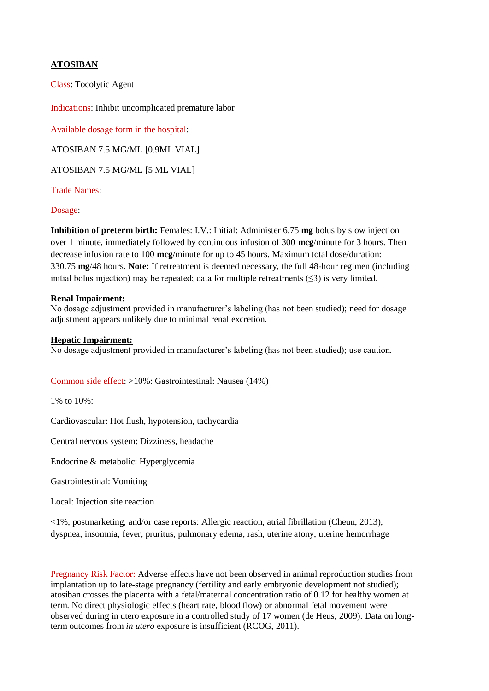## **ATOSIBAN**

Class: Tocolytic Agent

Indications: Inhibit uncomplicated premature labor

Available dosage form in the hospital:

ATOSIBAN 7.5 MG/ML [0.9ML VIAL]

ATOSIBAN 7.5 MG/ML [5 ML VIAL]

Trade Names:

## Dosage:

**Inhibition of preterm birth:** Females: I.V.: Initial: Administer 6.75 **mg** bolus by slow injection over 1 minute, immediately followed by continuous infusion of 300 **mcg**/minute for 3 hours. Then decrease infusion rate to 100 **mcg**/minute for up to 45 hours. Maximum total dose/duration: 330.75 **mg**/48 hours. **Note:** If retreatment is deemed necessary, the full 48-hour regimen (including initial bolus injection) may be repeated; data for multiple retreatments  $(\leq 3)$  is very limited.

## **Renal Impairment:**

No dosage adjustment provided in manufacturer's labeling (has not been studied); need for dosage adjustment appears unlikely due to minimal renal excretion.

## **Hepatic Impairment:**

No dosage adjustment provided in manufacturer's labeling (has not been studied); use caution.

Common side effect: >10%: Gastrointestinal: Nausea (14%)

1% to 10%:

Cardiovascular: Hot flush, hypotension, tachycardia

Central nervous system: Dizziness, headache

Endocrine & metabolic: Hyperglycemia

Gastrointestinal: Vomiting

Local: Injection site reaction

<1%, postmarketing, and/or case reports: Allergic reaction, atrial fibrillation (Cheun, 2013), dyspnea, insomnia, fever, pruritus, pulmonary edema, rash, uterine atony, uterine hemorrhage

Pregnancy Risk Factor: Adverse effects have not been observed in animal reproduction studies from implantation up to late-stage pregnancy (fertility and early embryonic development not studied); atosiban crosses the placenta with a fetal/maternal concentration ratio of 0.12 for healthy women at term. No direct physiologic effects (heart rate, blood flow) or abnormal fetal movement were observed during in utero exposure in a controlled study of 17 women (de Heus, 2009). Data on longterm outcomes from *in utero* exposure is insufficient (RCOG, 2011).